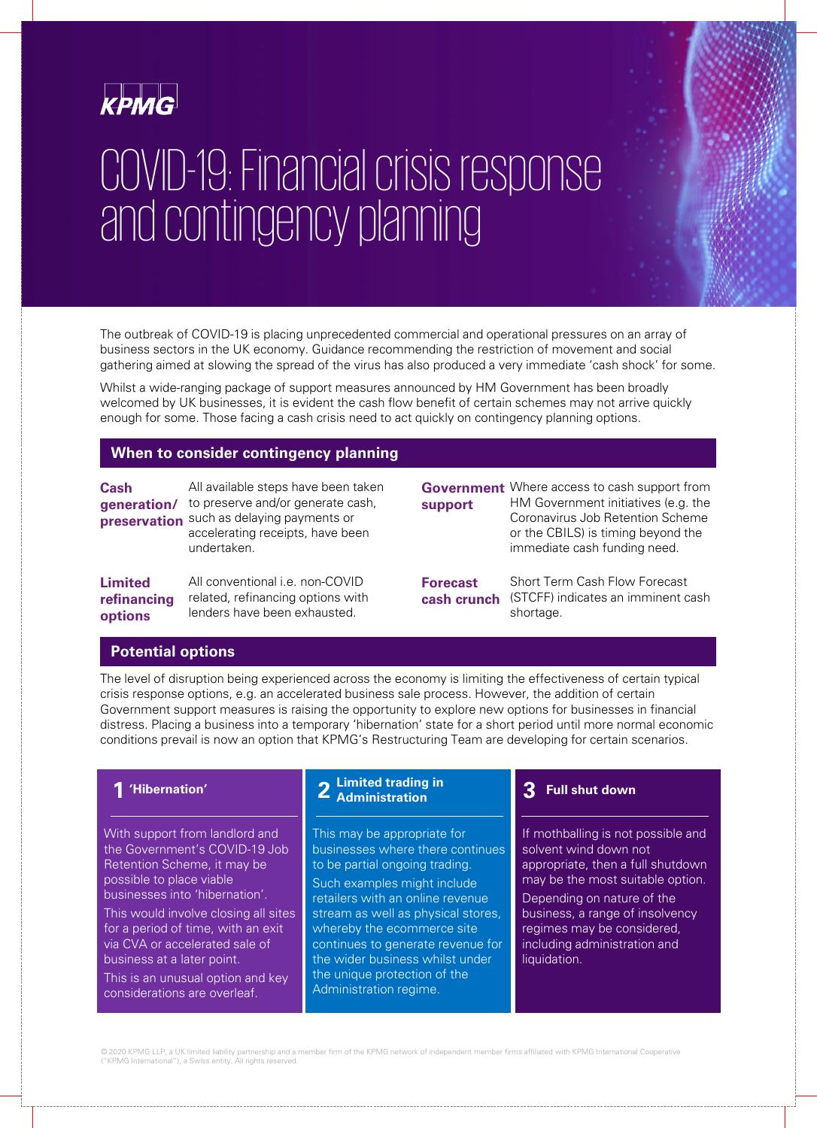

# COVID-19: Financial crisis response and contingency planning

The outbreak of COVID-19 is placing unprecedented commercial and operational pressures on an array of business sectors in the UK economy. Guidance recommending the restriction of movement and social gathering aimed at slowing the spread of the virus has also produced a very immediate 'cash shock' for some.

Whilst a wide-ranging package of support measures announced by HM Government has been broadly welcomed by UK businesses, it is evident the cash flow benefit of certain schemes may not arrive quickly enough for some. Those facing a cash crisis need to act quickly on contingency planning options.

#### **When to consider contingency planning**

| <b>Cash</b><br>generation/<br>preservation | All available steps have been taken<br>to preserve and/or generate cash,<br>such as delaying payments or<br>accelerating receipts, have been<br>undertaken. | support                        | <b>Government</b> Where access to cash support from<br>HM Government initiatives (e.g. the<br>Coronavirus Job Retention Scheme<br>or the CBILS) is timing beyond the<br>immediate cash funding need. |  |
|--------------------------------------------|-------------------------------------------------------------------------------------------------------------------------------------------------------------|--------------------------------|------------------------------------------------------------------------------------------------------------------------------------------------------------------------------------------------------|--|
| Limited<br>refinancing<br>options          | All conventional <i>i.e.</i> non-COVID<br>related, refinancing options with<br>lenders have been exhausted.                                                 | <b>Forecast</b><br>cash crunch | Short Term Cash Flow Forecast<br>(STCFF) indicates an imminent cash<br>shortage.                                                                                                                     |  |
| Dotantial antiana                          |                                                                                                                                                             |                                |                                                                                                                                                                                                      |  |

#### **Potential options**

The level of disruption being experienced across the economy is limiting the effectiveness of certain typical crisis response options, e.g. an accelerated business sale process. However, the addition of certain Government support measures is raising the opportunity to explore new options for businesses in financial distress. Placing a business into a temporary 'hibernation' state for a short period until more normal economic conditions prevail is now an option that KPMG's Restructuring Team are developing for certain scenarios.

## **1 'Hibernation'**

With support from landlord and the Government's COVID-19 Job Retention Scheme, it may be possible to place viable businesses into 'hibernation'.

This would involve closing all sites for a period of time, with an exit via CVA or accelerated sale of business at a later point.

This is an unusual option and key considerations are overleaf.

# **2 Limited trading in Administration**

This may be appropriate for businesses where there continues to be partial ongoing trading. Such examples might include retailers with an online revenue stream as well as physical stores, whereby the ecommerce site continues to generate revenue for the wider business whilst under the unique protection of the Administration regime.

#### **3 Full shut down**

If mothballing is not possible and solvent wind down not appropriate, then a full shutdown may be the most suitable option.

Depending on nature of the business, a range of insolvency regimes may be considered, including administration and liquidation.